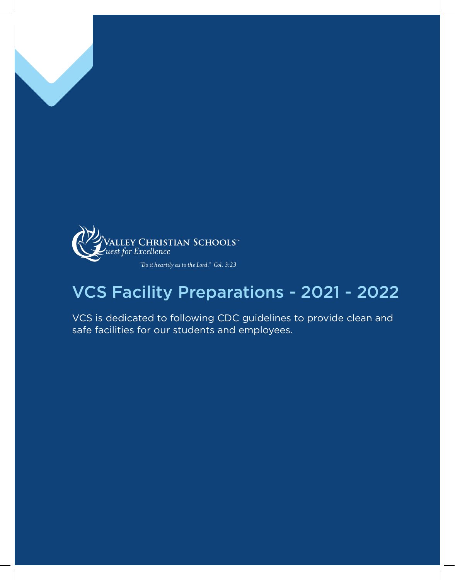

### VCS Facility Preparations - 2021 - 2022

VCS is dedicated to following CDC guidelines to provide clean and safe facilities for our students and employees.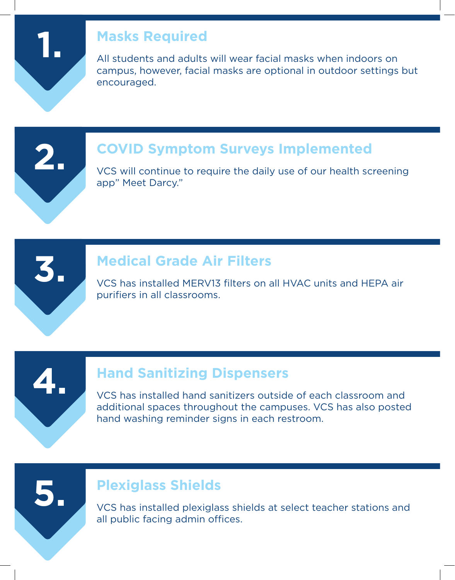**1.**

### **Masks Required**

All students and adults will wear facial masks when indoors on campus, however, facial masks are optional in outdoor settings but encouraged.



### **COVID Symptom Surveys Implemented**

VCS will continue to require the daily use of our health screening app" Meet Darcy."



### **Medical Grade Air Filters**

VCS has installed MERV13 filters on all HVAC units and HEPA air purifiers in all classrooms.



**5.**

### **Hand Sanitizing Dispensers**

VCS has installed hand sanitizers outside of each classroom and additional spaces throughout the campuses. VCS has also posted hand washing reminder signs in each restroom.

### **Plexiglass Shields**

VCS has installed plexiglass shields at select teacher stations and all public facing admin offices.